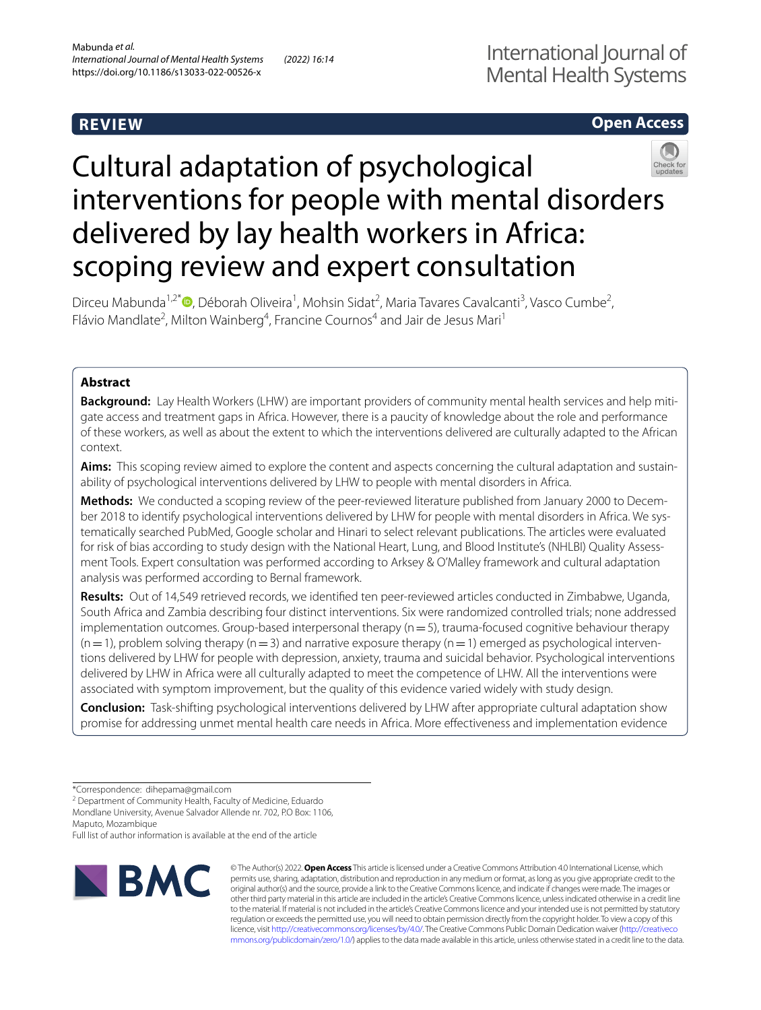# **REVIEW**

## **Open Access**



# Cultural adaptation of psychological interventions for people with mental disorders delivered by lay health workers in Africa: scoping review and expert consultation

Dirceu Mabunda<sup>1,2[\\*](http://orcid.org/0000-0001-7693-9071)</sup><sup>®</sup>, Déborah Oliveira<sup>1</sup>, Mohsin Sidat<sup>2</sup>, Maria Tavares Cavalcanti<sup>3</sup>, Vasco Cumbe<sup>2</sup>, Flávio Mandlate<sup>2</sup>, Milton Wainberg<sup>4</sup>, Francine Cournos<sup>4</sup> and Jair de Jesus Mari<sup>1</sup>

## **Abstract**

**Background:** Lay Health Workers (LHW) are important providers of community mental health services and help mitigate access and treatment gaps in Africa. However, there is a paucity of knowledge about the role and performance of these workers, as well as about the extent to which the interventions delivered are culturally adapted to the African context.

**Aims:** This scoping review aimed to explore the content and aspects concerning the cultural adaptation and sustainability of psychological interventions delivered by LHW to people with mental disorders in Africa.

**Methods:** We conducted a scoping review of the peer-reviewed literature published from January 2000 to December 2018 to identify psychological interventions delivered by LHW for people with mental disorders in Africa. We systematically searched PubMed, Google scholar and Hinari to select relevant publications. The articles were evaluated for risk of bias according to study design with the National Heart, Lung, and Blood Institute's (NHLBI) Quality Assessment Tools. Expert consultation was performed according to Arksey & O'Malley framework and cultural adaptation analysis was performed according to Bernal framework.

**Results:** Out of 14,549 retrieved records, we identifed ten peer-reviewed articles conducted in Zimbabwe, Uganda, South Africa and Zambia describing four distinct interventions. Six were randomized controlled trials; none addressed implementation outcomes. Group-based interpersonal therapy  $(n=5)$ , trauma-focused cognitive behaviour therapy  $(n=1)$ , problem solving therapy  $(n=3)$  and narrative exposure therapy  $(n=1)$  emerged as psychological interventions delivered by LHW for people with depression, anxiety, trauma and suicidal behavior. Psychological interventions delivered by LHW in Africa were all culturally adapted to meet the competence of LHW. All the interventions were associated with symptom improvement, but the quality of this evidence varied widely with study design.

**Conclusion:** Task-shifting psychological interventions delivered by LHW after appropriate cultural adaptation show promise for addressing unmet mental health care needs in Africa. More efectiveness and implementation evidence

<sup>2</sup> Department of Community Health, Faculty of Medicine, Eduardo Mondlane University, Avenue Salvador Allende nr. 702, P.O Box: 1106,

Maputo, Mozambique

Full list of author information is available at the end of the article



© The Author(s) 2022. **Open Access** This article is licensed under a Creative Commons Attribution 4.0 International License, which permits use, sharing, adaptation, distribution and reproduction in any medium or format, as long as you give appropriate credit to the original author(s) and the source, provide a link to the Creative Commons licence, and indicate if changes were made. The images or other third party material in this article are included in the article's Creative Commons licence, unless indicated otherwise in a credit line to the material. If material is not included in the article's Creative Commons licence and your intended use is not permitted by statutory regulation or exceeds the permitted use, you will need to obtain permission directly from the copyright holder. To view a copy of this licence, visit [http://creativecommons.org/licenses/by/4.0/.](http://creativecommons.org/licenses/by/4.0/) The Creative Commons Public Domain Dedication waiver ([http://creativeco](http://creativecommons.org/publicdomain/zero/1.0/) [mmons.org/publicdomain/zero/1.0/](http://creativecommons.org/publicdomain/zero/1.0/)) applies to the data made available in this article, unless otherwise stated in a credit line to the data.

<sup>\*</sup>Correspondence: dihepama@gmail.com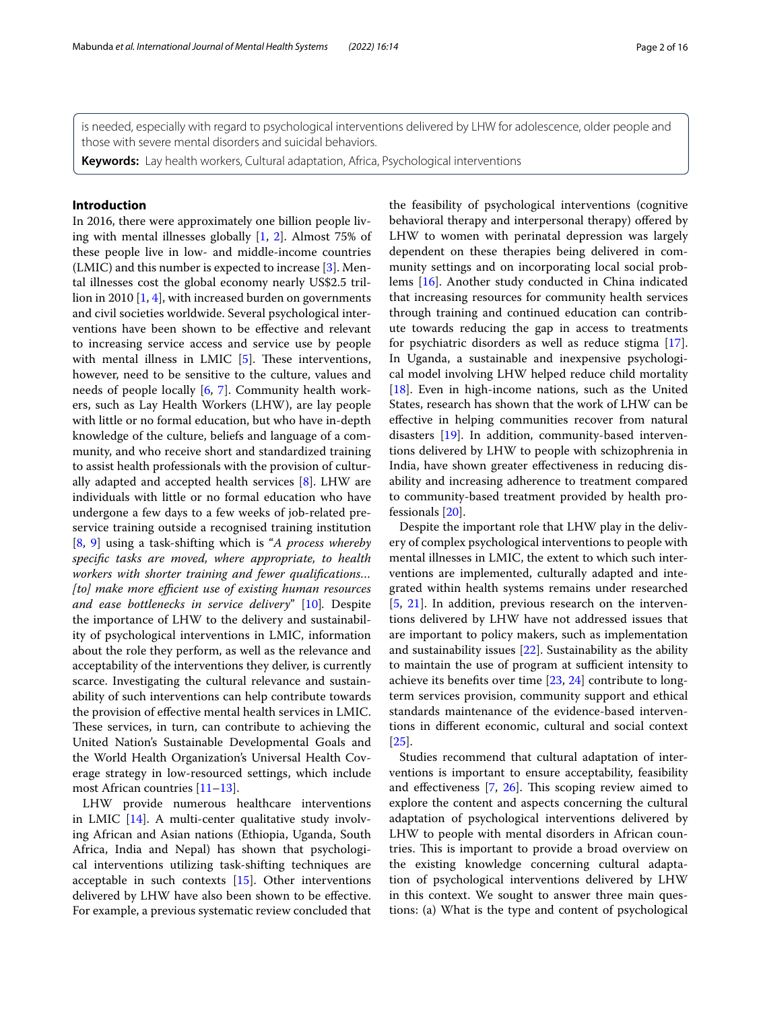is needed, especially with regard to psychological interventions delivered by LHW for adolescence, older people and those with severe mental disorders and suicidal behaviors.

**Keywords:** Lay health workers, Cultural adaptation, Africa, Psychological interventions

## **Introduction**

In 2016, there were approximately one billion people living with mental illnesses globally [\[1](#page-14-0), [2](#page-14-1)]. Almost 75% of these people live in low- and middle-income countries (LMIC) and this number is expected to increase [[3](#page-14-2)]. Mental illnesses cost the global economy nearly US\$2.5 trillion in 2010 [[1,](#page-14-0) [4\]](#page-14-3), with increased burden on governments and civil societies worldwide. Several psychological interventions have been shown to be efective and relevant to increasing service access and service use by people with mental illness in LMIC  $[5]$  $[5]$ . These interventions, however, need to be sensitive to the culture, values and needs of people locally [[6,](#page-14-5) [7](#page-14-6)]. Community health workers, such as Lay Health Workers (LHW), are lay people with little or no formal education, but who have in-depth knowledge of the culture, beliefs and language of a community, and who receive short and standardized training to assist health professionals with the provision of culturally adapted and accepted health services [\[8](#page-14-7)]. LHW are individuals with little or no formal education who have undergone a few days to a few weeks of job-related preservice training outside a recognised training institution [[8,](#page-14-7) [9\]](#page-14-8) using a task-shifting which is "*A process whereby specifc tasks are moved, where appropriate, to health workers with shorter training and fewer qualifcations… [to] make more efficient use of existing human resources and ease bottlenecks in service delivery*" [\[10\]](#page-14-9)*.* Despite the importance of LHW to the delivery and sustainability of psychological interventions in LMIC, information about the role they perform, as well as the relevance and acceptability of the interventions they deliver, is currently scarce. Investigating the cultural relevance and sustainability of such interventions can help contribute towards the provision of efective mental health services in LMIC. These services, in turn, can contribute to achieving the United Nation's Sustainable Developmental Goals and the World Health Organization's Universal Health Coverage strategy in low-resourced settings, which include most African countries [\[11](#page-14-10)[–13](#page-14-11)].

LHW provide numerous healthcare interventions in LMIC [[14\]](#page-14-12). A multi-center qualitative study involving African and Asian nations (Ethiopia, Uganda, South Africa, India and Nepal) has shown that psychological interventions utilizing task-shifting techniques are acceptable in such contexts [[15](#page-14-13)]. Other interventions delivered by LHW have also been shown to be efective. For example, a previous systematic review concluded that the feasibility of psychological interventions (cognitive behavioral therapy and interpersonal therapy) offered by LHW to women with perinatal depression was largely dependent on these therapies being delivered in community settings and on incorporating local social problems [[16\]](#page-14-14). Another study conducted in China indicated that increasing resources for community health services through training and continued education can contribute towards reducing the gap in access to treatments for psychiatric disorders as well as reduce stigma [\[17](#page-14-15)]. In Uganda, a sustainable and inexpensive psychological model involving LHW helped reduce child mortality [[18\]](#page-14-16). Even in high-income nations, such as the United States, research has shown that the work of LHW can be efective in helping communities recover from natural disasters [[19\]](#page-14-17). In addition, community-based interventions delivered by LHW to people with schizophrenia in India, have shown greater efectiveness in reducing disability and increasing adherence to treatment compared to community-based treatment provided by health professionals [\[20](#page-14-18)].

Despite the important role that LHW play in the delivery of complex psychological interventions to people with mental illnesses in LMIC, the extent to which such interventions are implemented, culturally adapted and integrated within health systems remains under researched [[5,](#page-14-4) [21\]](#page-14-19). In addition, previous research on the interventions delivered by LHW have not addressed issues that are important to policy makers, such as implementation and sustainability issues [[22\]](#page-14-20). Sustainability as the ability to maintain the use of program at sufficient intensity to achieve its benefts over time [\[23](#page-14-21), [24\]](#page-14-22) contribute to longterm services provision, community support and ethical standards maintenance of the evidence-based interventions in diferent economic, cultural and social context [[25\]](#page-14-23).

Studies recommend that cultural adaptation of interventions is important to ensure acceptability, feasibility and effectiveness  $[7, 26]$  $[7, 26]$  $[7, 26]$  $[7, 26]$ . This scoping review aimed to explore the content and aspects concerning the cultural adaptation of psychological interventions delivered by LHW to people with mental disorders in African countries. This is important to provide a broad overview on the existing knowledge concerning cultural adaptation of psychological interventions delivered by LHW in this context. We sought to answer three main questions: (a) What is the type and content of psychological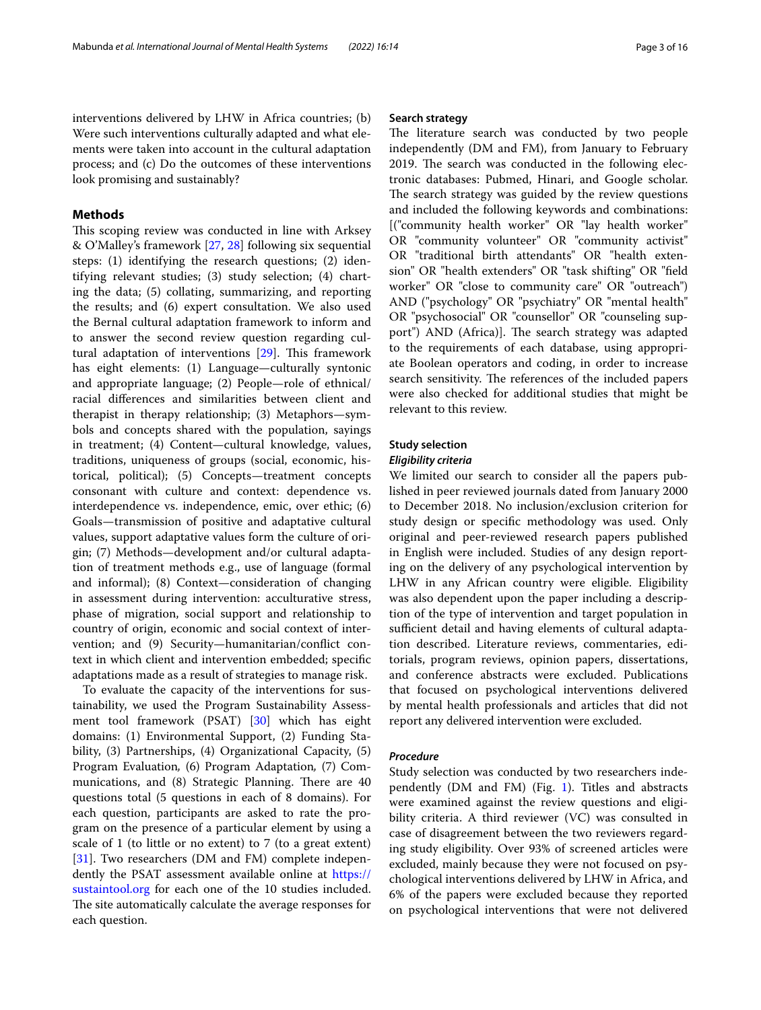interventions delivered by LHW in Africa countries; (b) Were such interventions culturally adapted and what elements were taken into account in the cultural adaptation process; and (c) Do the outcomes of these interventions look promising and sustainably?

## **Methods**

This scoping review was conducted in line with Arksey & O'Malley's framework [\[27](#page-14-25), [28\]](#page-14-26) following six sequential steps: (1) identifying the research questions; (2) identifying relevant studies; (3) study selection; (4) charting the data; (5) collating, summarizing, and reporting the results; and (6) expert consultation. We also used the Bernal cultural adaptation framework to inform and to answer the second review question regarding cultural adaptation of interventions  $[29]$  $[29]$ . This framework has eight elements: (1) Language—culturally syntonic and appropriate language; (2) People—role of ethnical/ racial diferences and similarities between client and therapist in therapy relationship; (3) Metaphors—symbols and concepts shared with the population, sayings in treatment; (4) Content—cultural knowledge, values, traditions, uniqueness of groups (social, economic, historical, political); (5) Concepts—treatment concepts consonant with culture and context: dependence vs. interdependence vs. independence, emic, over ethic; (6) Goals—transmission of positive and adaptative cultural values, support adaptative values form the culture of origin; (7) Methods—development and/or cultural adaptation of treatment methods e.g., use of language (formal and informal); (8) Context—consideration of changing in assessment during intervention: acculturative stress, phase of migration, social support and relationship to country of origin, economic and social context of intervention; and (9) Security—humanitarian/confict context in which client and intervention embedded; specifc adaptations made as a result of strategies to manage risk.

To evaluate the capacity of the interventions for sustainability, we used the Program Sustainability Assessment tool framework (PSAT) [[30\]](#page-14-28) which has eight domains: (1) Environmental Support, (2) Funding Stability, (3) Partnerships, (4) Organizational Capacity, (5) Program Evaluation*,* (6) Program Adaptation*,* (7) Communications, and (8) Strategic Planning. There are 40 questions total (5 questions in each of 8 domains). For each question, participants are asked to rate the program on the presence of a particular element by using a scale of 1 (to little or no extent) to 7 (to a great extent) [[31\]](#page-14-29). Two researchers (DM and FM) complete independently the PSAT assessment available online at [https://](https://sustaintool.org) [sustaintool.org](https://sustaintool.org) for each one of the 10 studies included. The site automatically calculate the average responses for each question.

## **Search strategy**

The literature search was conducted by two people independently (DM and FM), from January to February 2019. The search was conducted in the following electronic databases: Pubmed, Hinari, and Google scholar. The search strategy was guided by the review questions and included the following keywords and combinations: [("community health worker" OR "lay health worker" OR "community volunteer" OR "community activist" OR "traditional birth attendants" OR "health extension" OR "health extenders" OR "task shifting" OR "feld worker" OR "close to community care" OR "outreach") AND ("psychology" OR "psychiatry" OR "mental health" OR "psychosocial" OR "counsellor" OR "counseling support") AND (Africa)]. The search strategy was adapted to the requirements of each database, using appropriate Boolean operators and coding, in order to increase search sensitivity. The references of the included papers were also checked for additional studies that might be relevant to this review.

## **Study selection**

## *Eligibility criteria*

We limited our search to consider all the papers published in peer reviewed journals dated from January 2000 to December 2018. No inclusion/exclusion criterion for study design or specifc methodology was used. Only original and peer-reviewed research papers published in English were included. Studies of any design reporting on the delivery of any psychological intervention by LHW in any African country were eligible. Eligibility was also dependent upon the paper including a description of the type of intervention and target population in sufficient detail and having elements of cultural adaptation described. Literature reviews, commentaries, editorials, program reviews, opinion papers, dissertations, and conference abstracts were excluded. Publications that focused on psychological interventions delivered by mental health professionals and articles that did not report any delivered intervention were excluded.

## *Procedure*

Study selection was conducted by two researchers independently (DM and FM) (Fig.  $1$ ). Titles and abstracts were examined against the review questions and eligibility criteria. A third reviewer (VC) was consulted in case of disagreement between the two reviewers regarding study eligibility. Over 93% of screened articles were excluded, mainly because they were not focused on psychological interventions delivered by LHW in Africa, and 6% of the papers were excluded because they reported on psychological interventions that were not delivered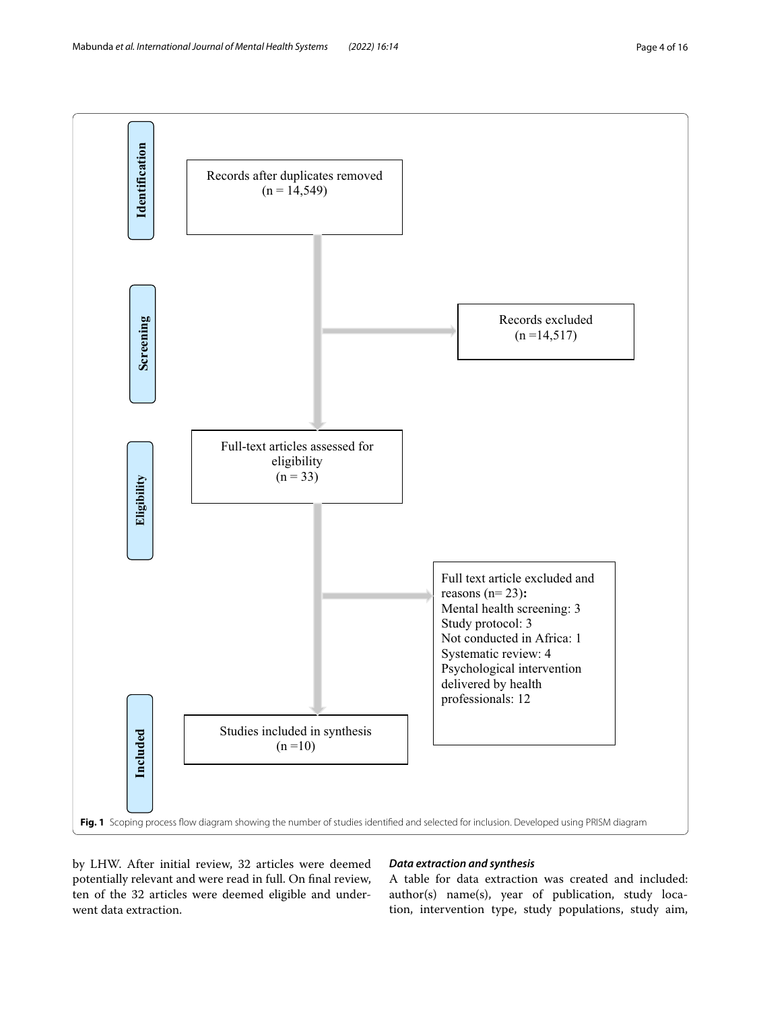

<span id="page-3-0"></span>by LHW. After initial review, 32 articles were deemed potentially relevant and were read in full. On fnal review, ten of the 32 articles were deemed eligible and underwent data extraction.

## *Data extraction and synthesis*

A table for data extraction was created and included: author(s) name(s), year of publication, study location, intervention type, study populations, study aim,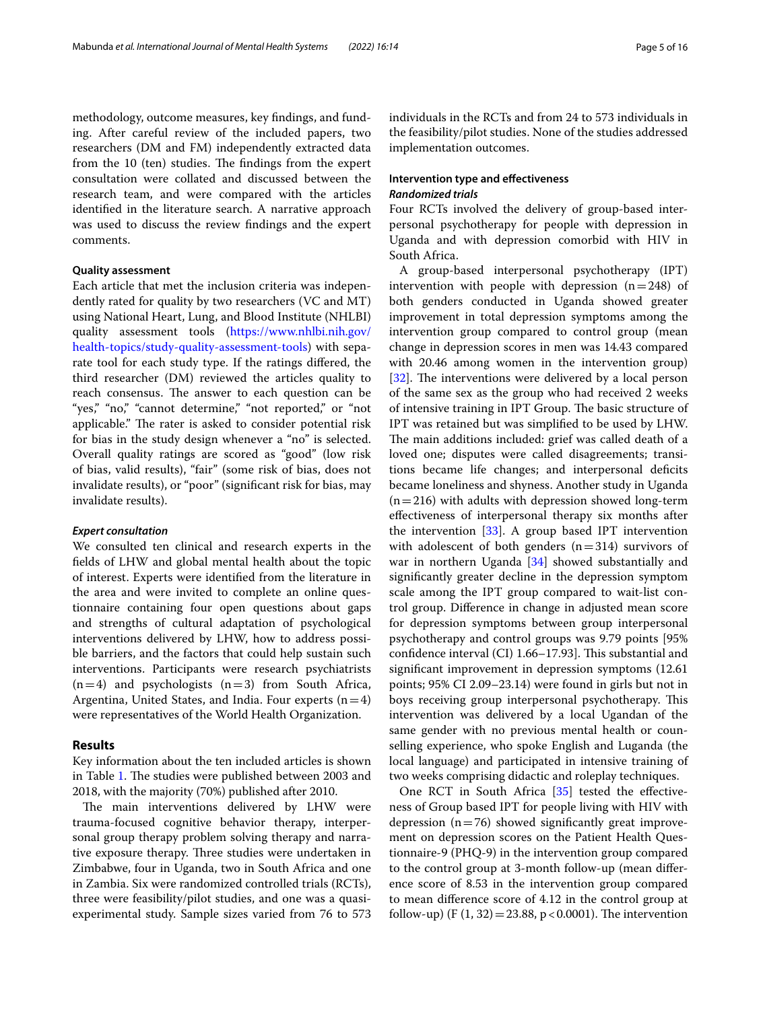methodology, outcome measures, key fndings, and funding. After careful review of the included papers, two researchers (DM and FM) independently extracted data from the 10 (ten) studies. The findings from the expert consultation were collated and discussed between the research team, and were compared with the articles identifed in the literature search. A narrative approach was used to discuss the review fndings and the expert comments.

## **Quality assessment**

Each article that met the inclusion criteria was independently rated for quality by two researchers (VC and MT) using National Heart, Lung, and Blood Institute (NHLBI) quality assessment tools [\(https://www.nhlbi.nih.gov/](https://www.nhlbi.nih.gov/health-topics/study-quality-assessment-tools) [health-topics/study-quality-assessment-tools\)](https://www.nhlbi.nih.gov/health-topics/study-quality-assessment-tools) with separate tool for each study type. If the ratings difered, the third researcher (DM) reviewed the articles quality to reach consensus. The answer to each question can be "yes," "no," "cannot determine," "not reported," or "not applicable." The rater is asked to consider potential risk for bias in the study design whenever a "no" is selected. Overall quality ratings are scored as "good" (low risk of bias, valid results), "fair" (some risk of bias, does not invalidate results), or "poor" (signifcant risk for bias, may invalidate results).

## *Expert consultation*

We consulted ten clinical and research experts in the felds of LHW and global mental health about the topic of interest. Experts were identifed from the literature in the area and were invited to complete an online questionnaire containing four open questions about gaps and strengths of cultural adaptation of psychological interventions delivered by LHW, how to address possible barriers, and the factors that could help sustain such interventions. Participants were research psychiatrists  $(n=4)$  and psychologists  $(n=3)$  from South Africa, Argentina, United States, and India. Four experts  $(n=4)$ were representatives of the World Health Organization.

## **Results**

Key information about the ten included articles is shown in Table [1](#page-5-0). The studies were published between 2003 and 2018, with the majority (70%) published after 2010.

The main interventions delivered by LHW were trauma-focused cognitive behavior therapy, interpersonal group therapy problem solving therapy and narrative exposure therapy. Three studies were undertaken in Zimbabwe, four in Uganda, two in South Africa and one in Zambia. Six were randomized controlled trials (RCTs), three were feasibility/pilot studies, and one was a quasiexperimental study. Sample sizes varied from 76 to 573 individuals in the RCTs and from 24 to 573 individuals in the feasibility/pilot studies. None of the studies addressed implementation outcomes.

## **Intervention type and efectiveness** *Randomized trials*

Four RCTs involved the delivery of group-based interpersonal psychotherapy for people with depression in Uganda and with depression comorbid with HIV in South Africa.

A group-based interpersonal psychotherapy (IPT) intervention with people with depression  $(n=248)$  of both genders conducted in Uganda showed greater improvement in total depression symptoms among the intervention group compared to control group (mean change in depression scores in men was 14.43 compared with 20.46 among women in the intervention group)  $[32]$  $[32]$ . The interventions were delivered by a local person of the same sex as the group who had received 2 weeks of intensive training in IPT Group. The basic structure of IPT was retained but was simplifed to be used by LHW. The main additions included: grief was called death of a loved one; disputes were called disagreements; transitions became life changes; and interpersonal defcits became loneliness and shyness. Another study in Uganda  $(n=216)$  with adults with depression showed long-term efectiveness of interpersonal therapy six months after the intervention [\[33](#page-14-31)]. A group based IPT intervention with adolescent of both genders  $(n=314)$  survivors of war in northern Uganda [[34\]](#page-14-32) showed substantially and signifcantly greater decline in the depression symptom scale among the IPT group compared to wait-list control group. Diference in change in adjusted mean score for depression symptoms between group interpersonal psychotherapy and control groups was 9.79 points [95% confidence interval (CI) 1.66-17.93]. This substantial and signifcant improvement in depression symptoms (12.61 points; 95% CI 2.09–23.14) were found in girls but not in boys receiving group interpersonal psychotherapy. This intervention was delivered by a local Ugandan of the same gender with no previous mental health or counselling experience, who spoke English and Luganda (the local language) and participated in intensive training of two weeks comprising didactic and roleplay techniques.

One RCT in South Africa [\[35](#page-14-33)] tested the effectiveness of Group based IPT for people living with HIV with depression  $(n=76)$  showed significantly great improvement on depression scores on the Patient Health Questionnaire-9 (PHQ-9) in the intervention group compared to the control group at 3-month follow-up (mean diference score of 8.53 in the intervention group compared to mean diference score of 4.12 in the control group at follow-up) (F  $(1, 32) = 23.88$ , p < 0.0001). The intervention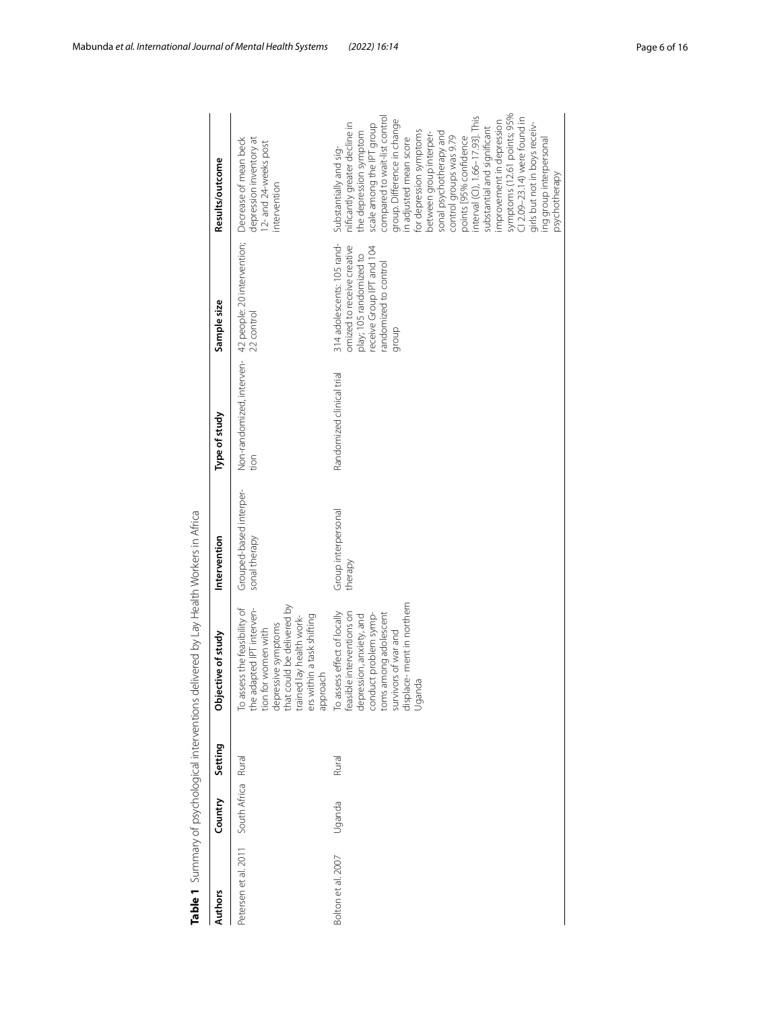| <b>Authors</b>       | Country      | Setting | tive of study<br>Object                                                                                                                                                                                           | Intervention                             | Type of study             | Sample size                                                                                                                                       | Results/outcome                                                                                                                                                                                                                                                                                                                                                                                                                                                                                                                                                                         |
|----------------------|--------------|---------|-------------------------------------------------------------------------------------------------------------------------------------------------------------------------------------------------------------------|------------------------------------------|---------------------------|---------------------------------------------------------------------------------------------------------------------------------------------------|-----------------------------------------------------------------------------------------------------------------------------------------------------------------------------------------------------------------------------------------------------------------------------------------------------------------------------------------------------------------------------------------------------------------------------------------------------------------------------------------------------------------------------------------------------------------------------------------|
| Petersen et al. 2011 | South Africa | Rural   | depressive symptoms<br>that could be delivered by<br>To assess the feasibility of<br>lapted IPT interven-<br>ers within a task shifting<br>trained lay health work-<br>tion for women with<br>approach<br>the ada | Grouped-based interper-<br>sonal therapy | tion                      | Non-randomized, interven-42 people: 20 intervention;<br>22 control                                                                                | depression inventory at<br>Decrease of mean beck<br>12- and 24-weeks post<br>ntervention                                                                                                                                                                                                                                                                                                                                                                                                                                                                                                |
| Bolton et al. 2007   | Uganda       | Rural   | displace-ment in northern<br>To assess effect of locally<br>feasible interventions on<br>toms among adolescent<br>conduct problem symp-<br>depression, anxiety, and<br>survivors of war and<br>Uganda             | Group interpersonal<br>therapy           | Randomized clinical trial | 314 adolescents: 105 rand-<br>omized to receive creative<br>receive Group IPT and 104<br>play; 105 randomized to<br>andomized to control<br>group | symptoms (12.61 points; 95%<br>Cl 2.09–23.14) were found in<br>compared to wait-list control<br>nterval (CI), 1.66-17.93]. This<br>group. Difference in change<br>mprovement in depression<br>nificantly greater decline in<br>girls but not in boys receiv-<br>scale among the IPT group<br>substantial and significant<br>for depression symptoms<br>the depression symptom<br>between group interper-<br>sonal psychotherapy and<br>control groups was 9.79<br>points [95% confidence<br>n adjusted mean score<br>ing group interpersonal<br>Substantially and sig-<br>psychotherapy |

<span id="page-5-0"></span>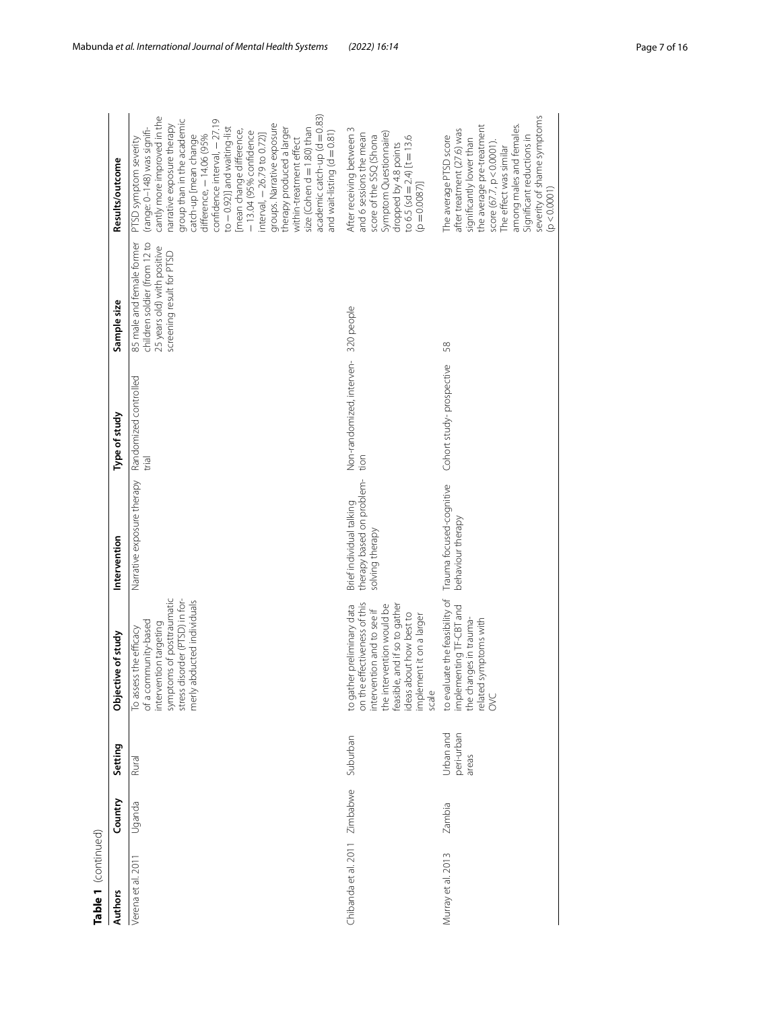| Table 1 (continued)  |          |                                  |                                                                                                                                                                                                                        |                                                                          |                                                 |                                                                                                                       |                                                                                                                                                                                                                                                                                                                                                                                                                                                                                                                                                  |
|----------------------|----------|----------------------------------|------------------------------------------------------------------------------------------------------------------------------------------------------------------------------------------------------------------------|--------------------------------------------------------------------------|-------------------------------------------------|-----------------------------------------------------------------------------------------------------------------------|--------------------------------------------------------------------------------------------------------------------------------------------------------------------------------------------------------------------------------------------------------------------------------------------------------------------------------------------------------------------------------------------------------------------------------------------------------------------------------------------------------------------------------------------------|
| <b>Authors</b>       | Country  | Setting                          | Objective of study                                                                                                                                                                                                     | Intervention                                                             | Type of study                                   | Sample size                                                                                                           | Results/outcome                                                                                                                                                                                                                                                                                                                                                                                                                                                                                                                                  |
| 201<br>Verena et al. | Uganda   | Rural                            | symptoms of posttraumatic<br>stress disorder (PTSD) in for-<br>abducted individuals<br>of a community-based<br>intervention targeting<br>To assess the efficacy<br>merly                                               | Narrative exposure therapy                                               | Randomized controlled<br>trial                  | children soldier (from 12 to<br>85 male and female former<br>25 years old) with positive<br>screening result for PTSD | cantly more improved in the<br>$academic\,catch-up\,(d=0.83)$<br>confidence interval, - 27.19<br>group than in the academic<br>narrative exposure therapy<br>groups. Narrative exposure<br>(range: 0-148) was signifi-<br>$to -0.92$ )] and waiting-list<br>size (Cohen d = 1.80) than<br>therapy produced a larger<br>mean change difference,<br>and wait-listing $(d = 0.81)$<br>-13.04 (95% confidence<br>$nterval, -26.79 to 0.72]$<br>difference, - 14.06 (95%<br>catch-up [mean change<br>PTSD symptom severity<br>within-treatment effect |
| Chibanda et al. 2011 | Zimbabwe | Suburban                         | on the effectiveness of this<br>feasible, and if so to gather<br>the intervention would be<br>to gather preliminary data<br>intervention and to see if<br>ideas about how best to<br>implement it on a larger<br>scale | therapy based on problem-<br>Brief individual talking<br>solving therapy | Non-randomized, interven-<br>320 people<br>tion |                                                                                                                       | After receiving between 3<br>Symptom Questionnaire)<br>and 6 sessions the mean<br>score of the SSQ (Shona<br>to 6.5 (sd = 2.4) $[t = 13.6$<br>dropped by 4.8 points<br>[0.80087]                                                                                                                                                                                                                                                                                                                                                                 |
| Murray et al. 2013   | Zambia   | Urban and<br>peri-urban<br>areas | to evaluate the feasibility of<br>implementing TF-CBT and<br>the changes in trauma-<br>related symptoms with<br>S                                                                                                      | Trauma focused-cognitive<br>behaviour therapy                            | Cohort study-prospective                        | 58                                                                                                                    | severity of shame symptoms<br>among males and females.<br>the average pre-treatment<br>after treatment (27.6) was<br>Significant reductions in<br>The average PTSD score<br>significantly lower than<br>score (67.7, p<0.0001).<br>The effect was similar<br>(p < 0.0001)                                                                                                                                                                                                                                                                        |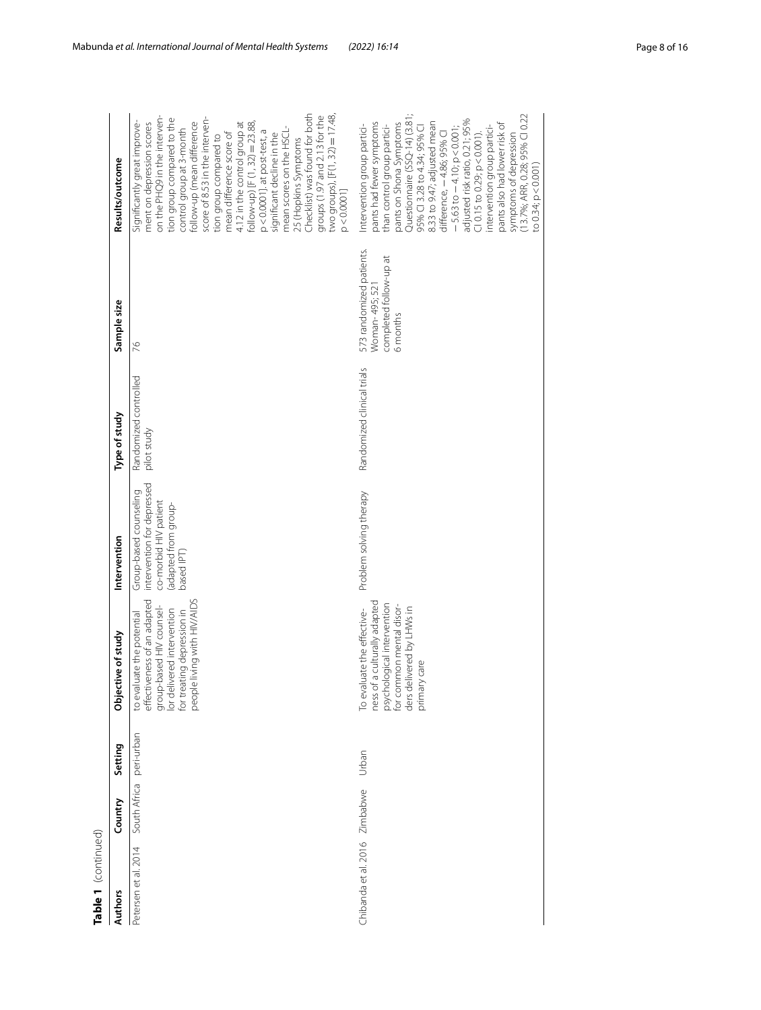| ŧ |
|---|
|   |
|   |
|   |
|   |
|   |

| Table 1 (continued)  |              |            |                                                                                                                                                                                     |                                                                                                                    |                                      |                                                                                |                                                                                                                                                                                                                                                                                                                                                                                                                                                                                                                                                                                     |
|----------------------|--------------|------------|-------------------------------------------------------------------------------------------------------------------------------------------------------------------------------------|--------------------------------------------------------------------------------------------------------------------|--------------------------------------|--------------------------------------------------------------------------------|-------------------------------------------------------------------------------------------------------------------------------------------------------------------------------------------------------------------------------------------------------------------------------------------------------------------------------------------------------------------------------------------------------------------------------------------------------------------------------------------------------------------------------------------------------------------------------------|
| Authors              | Country      | Setting    | Objective of study                                                                                                                                                                  | Intervention                                                                                                       | Type of study                        | Sample size                                                                    | Results/outcome                                                                                                                                                                                                                                                                                                                                                                                                                                                                                                                                                                     |
| Petersen et al. 2014 | South Africa | peri-urban | effectiveness of an adapted<br>people living with HIV/AIDS<br>group-based HIV counsel-<br>lor delivered intervention<br>for treating depression in<br>te the potential<br>to evalua | intervention for depressed<br>Group-based counseling<br>co-morbid HIV patient<br>adapted from group-<br>based IPT) | Randomized controlled<br>pilot study | 26                                                                             | Checklist) was found for both<br>two groups), [F(1, 32) = 17.48<br>groups (1.97 and 2.13 for the<br>on the PHQ9 in the interven-<br>tion group compared to the<br>score of 8.53 in the interven<br>Significantly great improve-<br>follow-up (mean difference<br>follow-up) [F $(1, 32) = 23.88$ ,<br>ment on depression scores<br>4.12 in the control group at<br>mean scores on the HSCL-<br>control group at 3-month<br>p<0.0001]. at post-test, a<br>mean difference score of<br>significant decline in the<br>tion group compared to<br>25 (Hopkins Symptoms<br>$p < 0.0001$ ] |
| Chibanda et al. 2016 | Zimbabwe     | Urban      | ness of a culturally adapted<br>psychological intervention<br>for common mental disor-<br>ders delivered by LHWs in<br>To evaluate the effective-<br>primary care                   | Problem solving therapy                                                                                            | Randomized clinical trials           | 573 randomized patients.<br>completed follow-up at<br>Woman-495;52<br>6 months | (13.7%; ARR, 0.28; 95% CI 0.22<br>Questionnaire (SSQ-14) (3.81<br>adjusted risk ratio, 0.21; 95%<br>pants had fewer symptoms<br>pants on Shona Symptoms<br>8.33 to 9.47; adjusted mean<br>pants also had lower risk of<br>Intervention group partici-<br>than control group partici-<br>95% CI 3.28 to 4.34; 95% CI<br>intervention group partici-<br>$-5.63$ to $-4.10$ ; $p < 0.001$ ;<br>difference, -4.86; 95% CI<br>$C10.15$ to 0.29; p < 0.001).<br>symptoms of depression<br>to 0.34; p<0.001)                                                                               |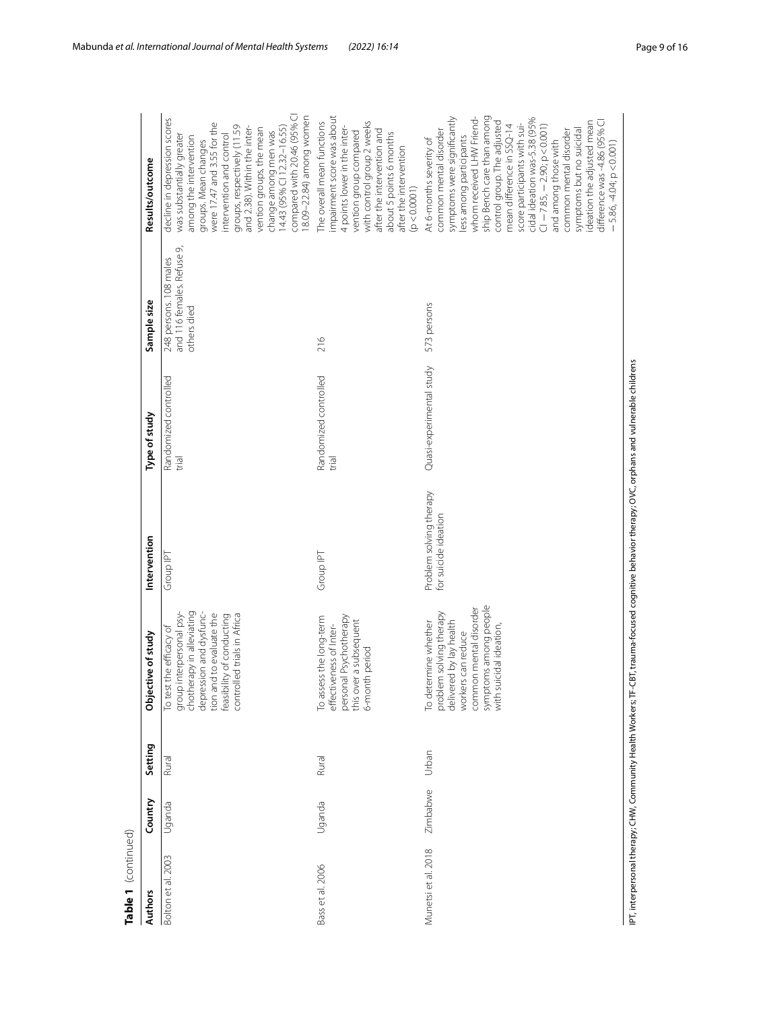| Table 1 (continued) |          |         |                                                                                                                                                                                                     |                                                 |                                |                                                                     |                                                                                                                                                                                                                                                                                                                                                                                                                                                                                                        |
|---------------------|----------|---------|-----------------------------------------------------------------------------------------------------------------------------------------------------------------------------------------------------|-------------------------------------------------|--------------------------------|---------------------------------------------------------------------|--------------------------------------------------------------------------------------------------------------------------------------------------------------------------------------------------------------------------------------------------------------------------------------------------------------------------------------------------------------------------------------------------------------------------------------------------------------------------------------------------------|
| <b>Authors</b>      | Country  | Setting | Objective of study                                                                                                                                                                                  | Intervention                                    | Type of study                  | Sample size                                                         | Results/outcome                                                                                                                                                                                                                                                                                                                                                                                                                                                                                        |
| Bolton et al. 2003  | Uganda   | Rural   | group interpersonal psy-<br>chotherapy in alleviating<br>depression and dysfunc-<br>tion and to evaluate the<br>feasibility of conducting<br>controlled trials in Africa<br>To test the efficacy of | Group IPT                                       | Randomized controlled<br>trial | and 116 females. Refuse 9,<br>248 persons. 108 males<br>others died | compared with 20.46 (95% CI<br>18.09-22.84) among women<br>decline in depression scores<br>were 17.47 and 3.55 for the<br>groups, respectively (11.59<br>and 2.38). Within the inter-<br>change among men was<br>14.43 (95% Cl 12.32–16.55)<br>vention groups, the mean<br>was substantially greater<br>ntervention and control<br>among the intervention<br>groups. Mean changes                                                                                                                      |
| Bass et al. 2006    | Uganda   | Rural   | personal Psychotherapy<br>To assess the long-term<br>this over a subsequent<br>6-month period<br>effectiveness of Inter-                                                                            | Group IPT                                       | Randomized controlled<br>trial | 216                                                                 | impairment score was about<br>with control group 2 weeks<br>The overall mean functions<br>4 points lower in the inter-<br>after the intervention and<br>vention group compared<br>about 5 points 6 months<br>after the intervention<br>(p < 0.0001)                                                                                                                                                                                                                                                    |
| Munetsi et al. 2018 | Zimbabwe | Urban   | symptoms among people<br>common mental disorder<br>problem solving therapy<br>delivered by lay health<br>To determine whether<br>with suicidal ideation<br>workers can reduce                       | Problem solving therapy<br>for suicide ideation | Quasi-experimental study       | 573 persons                                                         | whom received LHW Friend-<br>ship Bench care than among<br>symptoms were significantly<br>cidal ideation was-5.38 (95%<br>difference was-4.86 (95% CI<br>control group. The adjusted<br>ideation the adjusted mean<br>score participants with sui-<br>$2.85, -2.90; p < 0.001$<br>mean difference in SSQ-14<br>symptoms but no suicidal<br>common mental disorder<br>common mental disorder<br>less among participants<br>At 6-months severity of<br>and among those with<br>$-5.86, -4.04; p < 0.001$ |

IPT, interpersonal therapy; CHW, Community Health Workers; TF-CBT, trauma-focused cognitive behavior therapy; OVC, orphans and vulnerable childrens IPT, interpersonal therapy; CHW, Community Health Workers; TF-CBT, trauma-focused cognitive behavior therapy; OVC, orphans and vulnerable childrens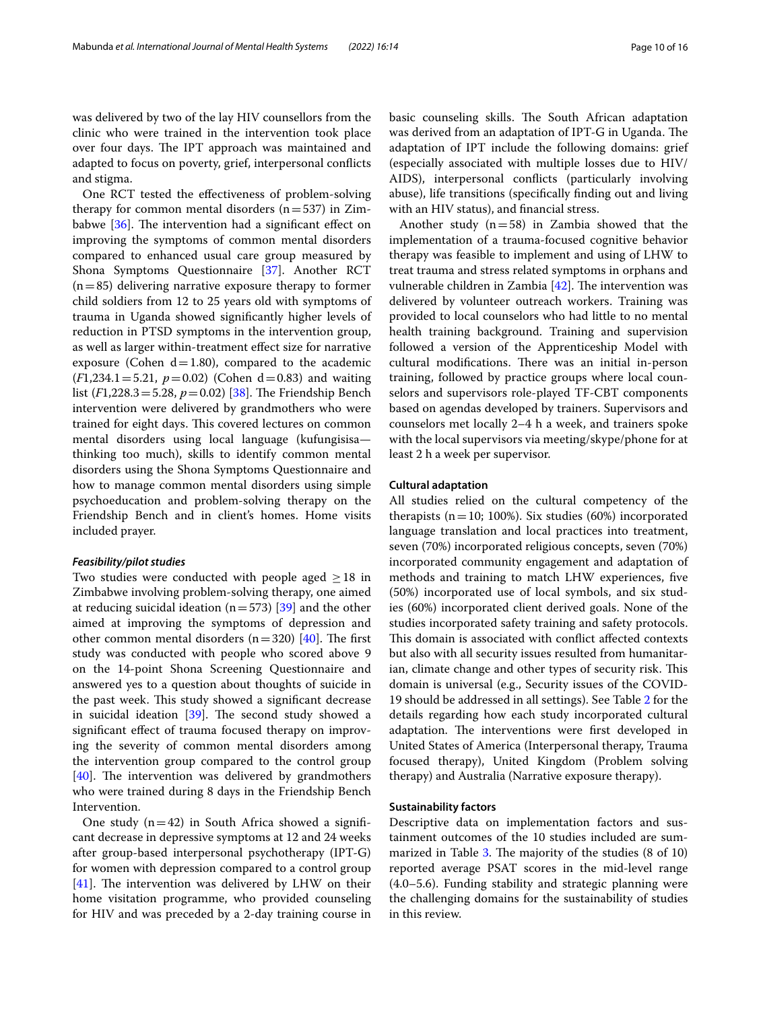was delivered by two of the lay HIV counsellors from the clinic who were trained in the intervention took place over four days. The IPT approach was maintained and adapted to focus on poverty, grief, interpersonal conficts and stigma.

One RCT tested the efectiveness of problem-solving therapy for common mental disorders  $(n=537)$  in Zimbabwe  $[36]$  $[36]$  $[36]$ . The intervention had a significant effect on improving the symptoms of common mental disorders compared to enhanced usual care group measured by Shona Symptoms Questionnaire [[37\]](#page-14-35). Another RCT  $(n=85)$  delivering narrative exposure therapy to former child soldiers from 12 to 25 years old with symptoms of trauma in Uganda showed signifcantly higher levels of reduction in PTSD symptoms in the intervention group, as well as larger within-treatment efect size for narrative exposure (Cohen  $d=1.80$ ), compared to the academic  $(F1,234.1=5.21, p=0.02)$  (Cohen d=0.83) and waiting list ( $F1,228.3 = 5.28$ ,  $p = 0.02$ ) [\[38](#page-14-36)]. The Friendship Bench intervention were delivered by grandmothers who were trained for eight days. This covered lectures on common mental disorders using local language (kufungisisa thinking too much), skills to identify common mental disorders using the Shona Symptoms Questionnaire and how to manage common mental disorders using simple psychoeducation and problem-solving therapy on the Friendship Bench and in client's homes. Home visits included prayer.

#### *Feasibility/pilot studies*

Two studies were conducted with people aged  $\geq$  18 in Zimbabwe involving problem-solving therapy, one aimed at reducing suicidal ideation ( $n=573$ ) [[39\]](#page-15-0) and the other aimed at improving the symptoms of depression and other common mental disorders  $(n=320)$  [\[40](#page-15-1)]. The first study was conducted with people who scored above 9 on the 14-point Shona Screening Questionnaire and answered yes to a question about thoughts of suicide in the past week. This study showed a significant decrease in suicidal ideation  $[39]$  $[39]$ . The second study showed a signifcant efect of trauma focused therapy on improving the severity of common mental disorders among the intervention group compared to the control group  $[40]$  $[40]$ . The intervention was delivered by grandmothers who were trained during 8 days in the Friendship Bench Intervention.

One study  $(n=42)$  in South Africa showed a significant decrease in depressive symptoms at 12 and 24 weeks after group-based interpersonal psychotherapy (IPT-G) for women with depression compared to a control group  $[41]$  $[41]$ . The intervention was delivered by LHW on their home visitation programme, who provided counseling for HIV and was preceded by a 2-day training course in basic counseling skills. The South African adaptation was derived from an adaptation of IPT-G in Uganda. The adaptation of IPT include the following domains: grief (especially associated with multiple losses due to HIV/ AIDS), interpersonal conficts (particularly involving abuse), life transitions (specifcally fnding out and living with an HIV status), and fnancial stress.

Another study  $(n=58)$  in Zambia showed that the implementation of a trauma-focused cognitive behavior therapy was feasible to implement and using of LHW to treat trauma and stress related symptoms in orphans and vulnerable children in Zambia  $[42]$  $[42]$ . The intervention was delivered by volunteer outreach workers. Training was provided to local counselors who had little to no mental health training background. Training and supervision followed a version of the Apprenticeship Model with cultural modifications. There was an initial in-person training, followed by practice groups where local counselors and supervisors role-played TF-CBT components based on agendas developed by trainers. Supervisors and counselors met locally 2–4 h a week, and trainers spoke with the local supervisors via meeting/skype/phone for at least 2 h a week per supervisor.

## **Cultural adaptation**

All studies relied on the cultural competency of the therapists ( $n=10$ ; 100%). Six studies (60%) incorporated language translation and local practices into treatment, seven (70%) incorporated religious concepts, seven (70%) incorporated community engagement and adaptation of methods and training to match LHW experiences, fve (50%) incorporated use of local symbols, and six studies (60%) incorporated client derived goals. None of the studies incorporated safety training and safety protocols. This domain is associated with conflict affected contexts but also with all security issues resulted from humanitarian, climate change and other types of security risk. This domain is universal (e.g., Security issues of the COVID-19 should be addressed in all settings). See Table [2](#page-10-0) for the details regarding how each study incorporated cultural adaptation. The interventions were first developed in United States of America (Interpersonal therapy, Trauma focused therapy), United Kingdom (Problem solving therapy) and Australia (Narrative exposure therapy).

## **Sustainability factors**

Descriptive data on implementation factors and sustainment outcomes of the 10 studies included are sum-marized in Table [3.](#page-11-0) The majority of the studies  $(8 \text{ of } 10)$ reported average PSAT scores in the mid-level range (4.0–5.6). Funding stability and strategic planning were the challenging domains for the sustainability of studies in this review.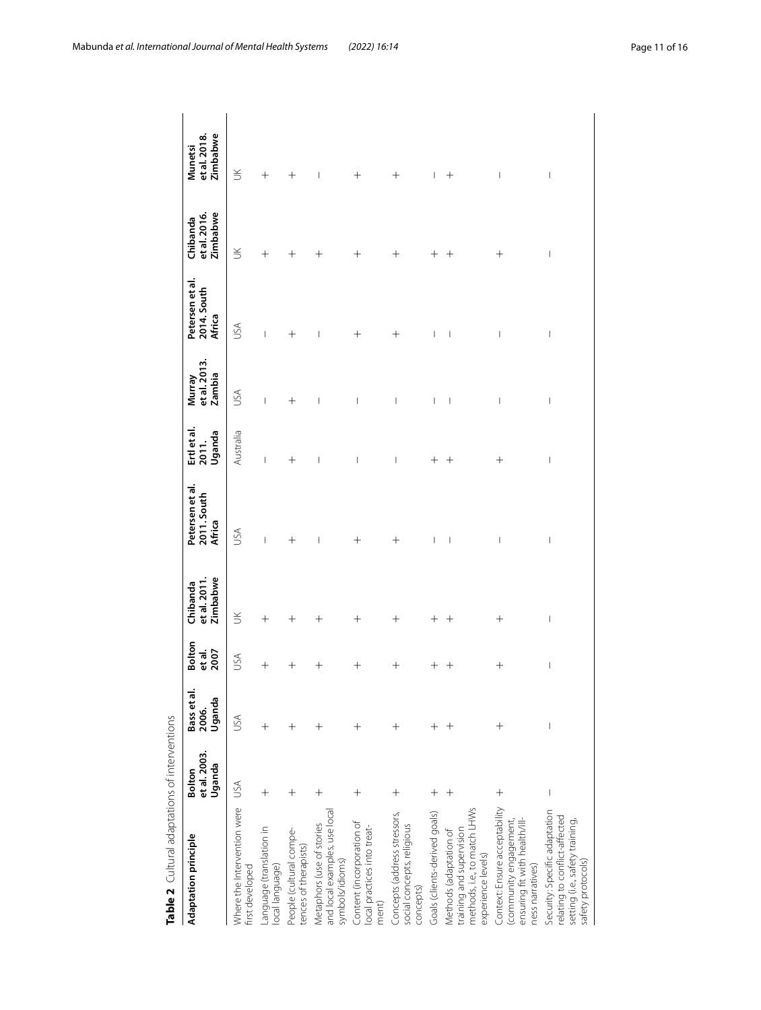<span id="page-10-0"></span>

| al adaptations of interventions |
|---------------------------------|
|                                 |
| Ş                               |
| t<br>n                          |

| Table 2 Cultural adaptations of interventions                                                                          |                                  |                                  |                                 |                                      |                                                                                                                                                                                                                                                                                                                                                                                  |                                       |                                  |                                          |                                      |                                       |
|------------------------------------------------------------------------------------------------------------------------|----------------------------------|----------------------------------|---------------------------------|--------------------------------------|----------------------------------------------------------------------------------------------------------------------------------------------------------------------------------------------------------------------------------------------------------------------------------------------------------------------------------------------------------------------------------|---------------------------------------|----------------------------------|------------------------------------------|--------------------------------------|---------------------------------------|
| Adaptation principle                                                                                                   | et al. 2003.<br>Uganda<br>Bolton | Bass et al.<br>Uganda<br>2006.   | <b>Bolton</b><br>et al.<br>2007 | et al. 2011.<br>Zimbabwe<br>Chibanda | Petersen et al.<br>2011. South<br>Africa                                                                                                                                                                                                                                                                                                                                         | Ertl et al.<br>Uganda<br>2011.        | et al. 2013.<br>Zambia<br>Murray | Petersen et al.<br>2014. South<br>Africa | Zimbabwe<br>et al. 2016.<br>Chibanda | Zimbabwe<br>et al. 2018.<br>Munetsi   |
| Where the Intervention were<br>first developed                                                                         | USA                              | USA                              | USA                             | $\leq$                               | USA                                                                                                                                                                                                                                                                                                                                                                              | Australia                             | JSA                              | <b>ASU</b>                               | $\leq$                               | $\leq$                                |
| Language (translation in<br>local language)                                                                            | $\hspace{0.1mm} +$               | $^+$                             | $^{+}$                          | $\hspace{0.1mm} +$                   | $\overline{\phantom{a}}$                                                                                                                                                                                                                                                                                                                                                         | I                                     | I                                | $\begin{array}{c} \end{array}$           | $\hspace{0.1mm} +$                   | $^{+}$                                |
| People (cultural compe-<br>tences of therapists)                                                                       | $\hspace{0.1mm} +$               | $\hspace{0.1mm} +\hspace{0.1mm}$ | $^+$                            | $^{+}$                               | $^{+}$                                                                                                                                                                                                                                                                                                                                                                           | $^+$                                  | $^{+}$                           | $^+$                                     | $^+$                                 | $\hspace{0.1mm} +$                    |
| and local examples, use local<br>Metaphors (use of stories<br>symbols/idioms)                                          | $\hspace{0.1mm} +$               | $\hspace{0.1mm} +$               | $^+$                            | $^+$                                 | $\overline{\phantom{a}}$                                                                                                                                                                                                                                                                                                                                                         | $\begin{array}{c} \hline \end{array}$ | $\overline{\phantom{a}}$         | $\overline{\phantom{a}}$                 | $^{+}$                               | $\overline{\phantom{a}}$              |
| Content (incorporation of<br>local practices into treat-<br>ment)                                                      | $\hspace{0.1mm} +$               | $\hspace{0.1mm} +$               | $^+$                            | $^+$                                 | $\hspace{0.1mm} +$                                                                                                                                                                                                                                                                                                                                                               | I                                     | I                                | $\hspace{0.1mm} +$                       | $\hspace{0.1mm} +$                   | $\hspace{0.1mm} +$                    |
| Concepts (address stressors,<br>social concepts, religious<br>concepts)                                                | $\hspace{0.1mm} +\hspace{0.1mm}$ | $^+$                             | $\hspace{0.1mm} +$              | $\hspace{0.1mm} +$                   | $\hspace{0.1mm} +$                                                                                                                                                                                                                                                                                                                                                               | I                                     | I                                | $\hspace{0.1mm} +$                       | $\hspace{0.1mm} +$                   | $\hspace{0.1mm} +$                    |
| Goals (clients-derived goals)                                                                                          | $\hspace{0.1mm} +$               | $\hspace{0.1mm} +\hspace{0.1mm}$ | ┽                               | $^+$                                 | $\overline{\phantom{a}}$                                                                                                                                                                                                                                                                                                                                                         | $^+$                                  | $\overline{\phantom{a}}$         | $\overline{\phantom{a}}$                 | $^+$                                 | $\overline{\phantom{a}}$              |
| methods, i.e., to match LHWs<br>training and supervision<br>Methods (adaptation of<br>experience levels)               | $^{+}$                           | $^{+}$                           | $^+$                            | $^+$                                 | $\begin{array}{c} \rule{0pt}{2.5ex} \rule{0pt}{2.5ex} \rule{0pt}{2.5ex} \rule{0pt}{2.5ex} \rule{0pt}{2.5ex} \rule{0pt}{2.5ex} \rule{0pt}{2.5ex} \rule{0pt}{2.5ex} \rule{0pt}{2.5ex} \rule{0pt}{2.5ex} \rule{0pt}{2.5ex} \rule{0pt}{2.5ex} \rule{0pt}{2.5ex} \rule{0pt}{2.5ex} \rule{0pt}{2.5ex} \rule{0pt}{2.5ex} \rule{0pt}{2.5ex} \rule{0pt}{2.5ex} \rule{0pt}{2.5ex} \rule{0$ | $^{+}$                                | $\begin{array}{c} \end{array}$   | $\overline{\phantom{a}}$                 | $^+$                                 | $\hspace{0.1mm} +$                    |
| Context: Ensure acceptability<br>ensuring fit with health/ill-<br>(community engagement,<br>ness narratives)           | $^+$                             | $^{+}$                           | $^{+}$                          | $^{+}$                               | $\begin{array}{c} \end{array}$                                                                                                                                                                                                                                                                                                                                                   | $^{+}$                                | $\overline{\phantom{a}}$         | I                                        | $^{+}$                               | $\overline{\phantom{a}}$              |
| Security: Specific adaptation<br>relating to conflict-affected<br>setting (i.e., safety training,<br>safety protocols) | $\overline{\phantom{a}}$         |                                  | $\begin{array}{c} \end{array}$  | $\begin{array}{c} \end{array}$       | $\begin{array}{c} \end{array}$                                                                                                                                                                                                                                                                                                                                                   | $\begin{array}{c} \end{array}$        | $\begin{array}{c} \end{array}$   | $\overline{\phantom{a}}$                 | $\overline{\phantom{a}}$             | $\begin{array}{c} \hline \end{array}$ |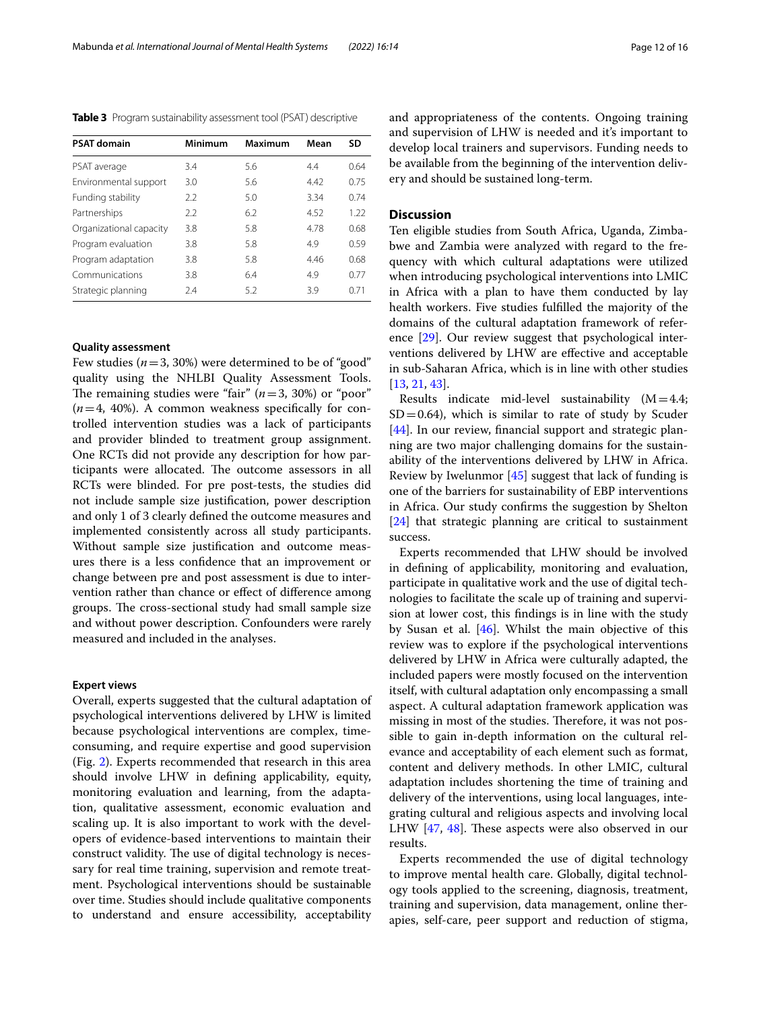<span id="page-11-0"></span>**Table 3** Program sustainability assessment tool (PSAT) descriptive

| <b>PSAT domain</b>      | Minimum | Maximum | Mean | SD   |
|-------------------------|---------|---------|------|------|
| PSAT average            | 3.4     | 5.6     | 4.4  | 0.64 |
| Environmental support   | 3.0     | 5.6     | 4.42 | 0.75 |
| Funding stability       | 22      | 5.0     | 3.34 | 0.74 |
| Partnerships            | 2.2     | 6.2     | 4.52 | 1.22 |
| Organizational capacity | 3.8     | 5.8     | 4.78 | 0.68 |
| Program evaluation      | 3.8     | 5.8     | 4.9  | 0.59 |
| Program adaptation      | 3.8     | 5.8     | 4.46 | 0.68 |
| Communications          | 3.8     | 6.4     | 4.9  | 0.77 |
| Strategic planning      | 2.4     | 5.2     | 3.9  | 0.71 |

## **Quality assessment**

Few studies  $(n=3, 30%)$  were determined to be of "good" quality using the NHLBI Quality Assessment Tools. The remaining studies were "fair"  $(n=3, 30%)$  or "poor"  $(n=4, 40\%)$ . A common weakness specifically for controlled intervention studies was a lack of participants and provider blinded to treatment group assignment. One RCTs did not provide any description for how participants were allocated. The outcome assessors in all RCTs were blinded. For pre post-tests, the studies did not include sample size justifcation, power description and only 1 of 3 clearly defned the outcome measures and implemented consistently across all study participants. Without sample size justifcation and outcome measures there is a less confdence that an improvement or change between pre and post assessment is due to intervention rather than chance or efect of diference among groups. The cross-sectional study had small sample size and without power description. Confounders were rarely measured and included in the analyses.

#### **Expert views**

Overall, experts suggested that the cultural adaptation of psychological interventions delivered by LHW is limited because psychological interventions are complex, timeconsuming, and require expertise and good supervision (Fig. [2\)](#page-12-0). Experts recommended that research in this area should involve LHW in defning applicability, equity, monitoring evaluation and learning, from the adaptation, qualitative assessment, economic evaluation and scaling up. It is also important to work with the developers of evidence-based interventions to maintain their construct validity. The use of digital technology is necessary for real time training, supervision and remote treatment. Psychological interventions should be sustainable over time. Studies should include qualitative components to understand and ensure accessibility, acceptability and appropriateness of the contents. Ongoing training and supervision of LHW is needed and it's important to develop local trainers and supervisors. Funding needs to be available from the beginning of the intervention delivery and should be sustained long-term.

## **Discussion**

Ten eligible studies from South Africa, Uganda, Zimbabwe and Zambia were analyzed with regard to the frequency with which cultural adaptations were utilized when introducing psychological interventions into LMIC in Africa with a plan to have them conducted by lay health workers. Five studies fulflled the majority of the domains of the cultural adaptation framework of reference [[29\]](#page-14-27). Our review suggest that psychological interventions delivered by LHW are efective and acceptable in sub-Saharan Africa, which is in line with other studies [[13,](#page-14-11) [21](#page-14-19), [43\]](#page-15-4).

Results indicate mid-level sustainability  $(M=4.4;$  $SD = 0.64$ ), which is similar to rate of study by Scuder [[44\]](#page-15-5). In our review, financial support and strategic planning are two major challenging domains for the sustainability of the interventions delivered by LHW in Africa. Review by Iwelunmor [\[45](#page-15-6)] suggest that lack of funding is one of the barriers for sustainability of EBP interventions in Africa. Our study confrms the suggestion by Shelton [[24\]](#page-14-22) that strategic planning are critical to sustainment success.

Experts recommended that LHW should be involved in defning of applicability, monitoring and evaluation, participate in qualitative work and the use of digital technologies to facilitate the scale up of training and supervision at lower cost, this fndings is in line with the study by Susan et al. [[46\]](#page-15-7). Whilst the main objective of this review was to explore if the psychological interventions delivered by LHW in Africa were culturally adapted, the included papers were mostly focused on the intervention itself, with cultural adaptation only encompassing a small aspect. A cultural adaptation framework application was missing in most of the studies. Therefore, it was not possible to gain in-depth information on the cultural relevance and acceptability of each element such as format, content and delivery methods. In other LMIC, cultural adaptation includes shortening the time of training and delivery of the interventions, using local languages, integrating cultural and religious aspects and involving local LHW  $[47, 48]$  $[47, 48]$  $[47, 48]$  $[47, 48]$  $[47, 48]$ . These aspects were also observed in our results.

Experts recommended the use of digital technology to improve mental health care. Globally, digital technology tools applied to the screening, diagnosis, treatment, training and supervision, data management, online therapies, self-care, peer support and reduction of stigma,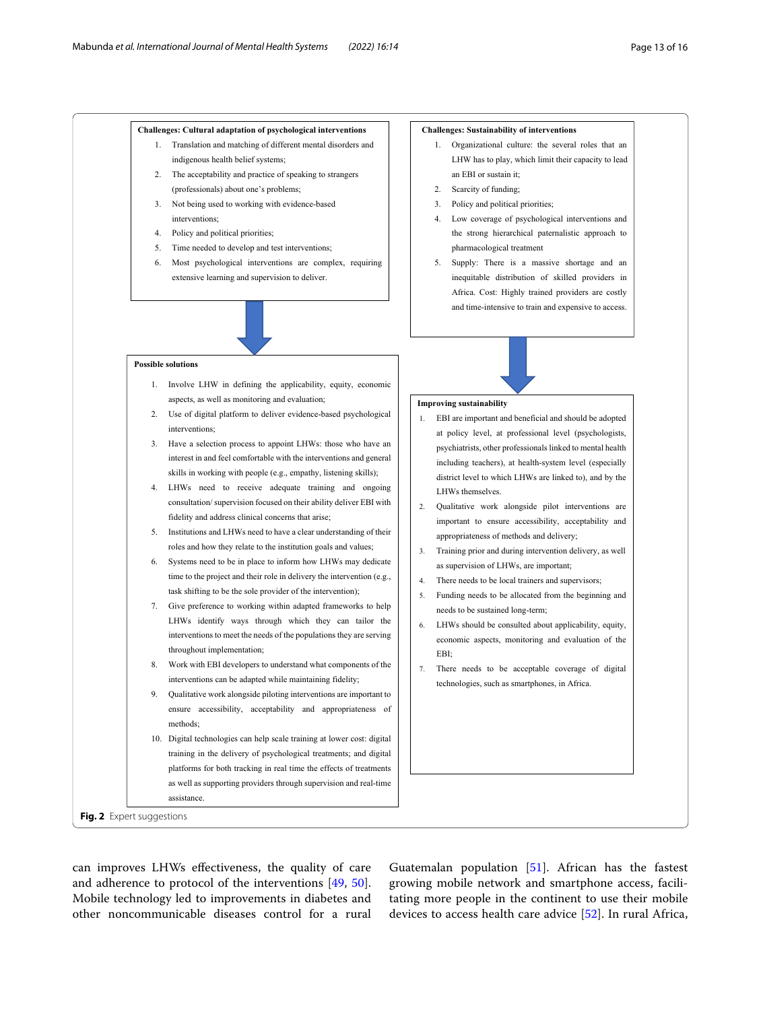**Challenges: Cultural adaptation of psychological interventions** 1. Translation and matching of different mental disorders and  **Challenges: Sustainability of interventions**

1. Organizational culture: the several roles that an

#### indigenous health belief systems; 2. The acceptability and practice of speaking to strangers (professionals) about one's problems; 3. Not being used to working with evidence-based interventions; 4. Policy and political priorities; 5. Time needed to develop and test interventions; 6. Most psychological interventions are complex, requiring extensive learning and supervision to deliver. LHW has to play, which limit their capacity to lead an EBI or sustain it; 2. Scarcity of funding; 3. Policy and political priorities; 4. Low coverage of psychological interventions and the strong hierarchical paternalistic approach to pharmacological treatment 5. Supply: There is a massive shortage and an inequitable distribution of skilled providers in Africa. Cost: Highly trained providers are costly and time-intensive to train and expensive to access. **Improving sustainability** 1. EBI are important and beneficial and should be adopted at policy level, at professional level (psychologists, psychiatrists, other professionals linked to mental health including teachers), at health-system level (especially district level to which LHWs are linked to), and by the LHWs themselves. 2. Qualitative work alongside pilot interventions are important to ensure accessibility, acceptability and appropriateness of methods and delivery; 3. Training prior and during intervention delivery, as well as supervision of LHWs, are important; 4. There needs to be local trainers and supervisors; 5. Funding needs to be allocated from the beginning and needs to be sustained long-term; 6. LHWs should be consulted about applicability, equity, economic aspects, monitoring and evaluation of the EBI; 7. There needs to be acceptable coverage of digital technologies, such as smartphones, in Africa. **Possible solutions** 1. Involve LHW in defining the applicability, equity, economic aspects, as well as monitoring and evaluation; 2. Use of digital platform to deliver evidence-based psychological interventions; 3. Have a selection process to appoint LHWs: those who have an interest in and feel comfortable with the interventions and general skills in working with people (e.g., empathy, listening skills); 4. LHWs need to receive adequate training and ongoing consultation/ supervision focused on their ability deliver EBI with fidelity and address clinical concerns that arise; 5. Institutions and LHWs need to have a clear understanding of their roles and how they relate to the institution goals and values; 6. Systems need to be in place to inform how LHWs may dedicate time to the project and their role in delivery the intervention (e.g., task shifting to be the sole provider of the intervention); 7. Give preference to working within adapted frameworks to help LHWs identify ways through which they can tailor the interventions to meet the needs of the populations they are serving throughout implementation; 8. Work with EBI developers to understand what components of the interventions can be adapted while maintaining fidelity; 9. Qualitative work alongside piloting interventions are important to ensure accessibility, acceptability and appropriateness of methods; 10. Digital technologies can help scale training at lower cost: digital training in the delivery of psychological treatments; and digital platforms for both tracking in real time the effects of treatments as well as supporting providers through supervision and real-time assistance. **Fig. 2** Expert suggestions

<span id="page-12-0"></span>can improves LHWs efectiveness, the quality of care and adherence to protocol of the interventions [[49,](#page-15-10) [50](#page-15-11)]. Mobile technology led to improvements in diabetes and other noncommunicable diseases control for a rural

Guatemalan population  $[51]$  $[51]$ . African has the fastest growing mobile network and smartphone access, facilitating more people in the continent to use their mobile devices to access health care advice [[52\]](#page-15-13). In rural Africa,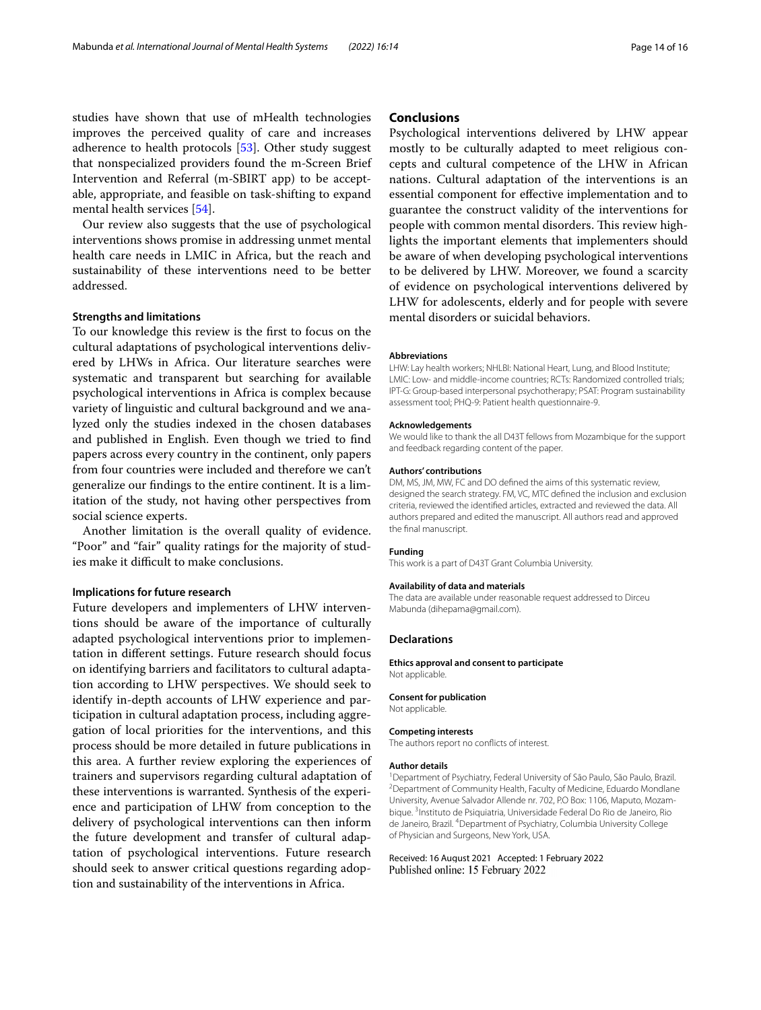studies have shown that use of mHealth technologies improves the perceived quality of care and increases adherence to health protocols [\[53\]](#page-15-14). Other study suggest that nonspecialized providers found the m-Screen Brief Intervention and Referral (m-SBIRT app) to be acceptable, appropriate, and feasible on task-shifting to expand mental health services [\[54\]](#page-15-15).

Our review also suggests that the use of psychological interventions shows promise in addressing unmet mental health care needs in LMIC in Africa, but the reach and sustainability of these interventions need to be better addressed.

## **Strengths and limitations**

To our knowledge this review is the frst to focus on the cultural adaptations of psychological interventions delivered by LHWs in Africa. Our literature searches were systematic and transparent but searching for available psychological interventions in Africa is complex because variety of linguistic and cultural background and we analyzed only the studies indexed in the chosen databases and published in English. Even though we tried to fnd papers across every country in the continent, only papers from four countries were included and therefore we can't generalize our fndings to the entire continent. It is a limitation of the study, not having other perspectives from social science experts.

Another limitation is the overall quality of evidence. "Poor" and "fair" quality ratings for the majority of studies make it difficult to make conclusions.

## **Implications for future research**

Future developers and implementers of LHW interventions should be aware of the importance of culturally adapted psychological interventions prior to implementation in diferent settings. Future research should focus on identifying barriers and facilitators to cultural adaptation according to LHW perspectives. We should seek to identify in-depth accounts of LHW experience and participation in cultural adaptation process, including aggregation of local priorities for the interventions, and this process should be more detailed in future publications in this area. A further review exploring the experiences of trainers and supervisors regarding cultural adaptation of these interventions is warranted. Synthesis of the experience and participation of LHW from conception to the delivery of psychological interventions can then inform the future development and transfer of cultural adaptation of psychological interventions. Future research should seek to answer critical questions regarding adoption and sustainability of the interventions in Africa.

## **Conclusions**

Psychological interventions delivered by LHW appear mostly to be culturally adapted to meet religious concepts and cultural competence of the LHW in African nations. Cultural adaptation of the interventions is an essential component for efective implementation and to guarantee the construct validity of the interventions for people with common mental disorders. This review highlights the important elements that implementers should be aware of when developing psychological interventions to be delivered by LHW. Moreover, we found a scarcity of evidence on psychological interventions delivered by LHW for adolescents, elderly and for people with severe mental disorders or suicidal behaviors.

#### **Abbreviations**

LHW: Lay health workers; NHLBI: National Heart, Lung, and Blood Institute; LMIC: Low- and middle-income countries; RCTs: Randomized controlled trials; IPT-G: Group-based interpersonal psychotherapy; PSAT: Program sustainability assessment tool; PHQ-9: Patient health questionnaire-9.

#### **Acknowledgements**

We would like to thank the all D43T fellows from Mozambique for the support and feedback regarding content of the paper.

#### **Authors' contributions**

DM, MS, JM, MW, FC and DO defned the aims of this systematic review, designed the search strategy. FM, VC, MTC defned the inclusion and exclusion criteria, reviewed the identifed articles, extracted and reviewed the data. All authors prepared and edited the manuscript. All authors read and approved the fnal manuscript.

#### **Funding**

This work is a part of D43T Grant Columbia University.

#### **Availability of data and materials**

The data are available under reasonable request addressed to Dirceu Mabunda (dihepama@gmail.com).

## **Declarations**

**Ethics approval and consent to participate** Not applicable.

## **Consent for publication**

Not applicable.

#### **Competing interests**

The authors report no conficts of interest.

#### **Author details**

<sup>1</sup> Department of Psychiatry, Federal University of São Paulo, São Paulo, Brazil.<br><sup>2</sup> Department of Community Hoalth, Faculty of Modicine, Eduardo Mondlang <sup>2</sup> Department of Community Health, Faculty of Medicine, Eduardo Mondlane University, Avenue Salvador Allende nr. 702, P.O Box: 1106, Maputo, Mozambique.<sup>3</sup> Instituto de Psiquiatria, Universidade Federal Do Rio de Janeiro, Rio de Janeiro, Brazil. <sup>4</sup> Department of Psychiatry, Columbia University College of Physician and Surgeons, New York, USA.

Received: 16 August 2021 Accepted: 1 February 2022Published online: 15 February 2022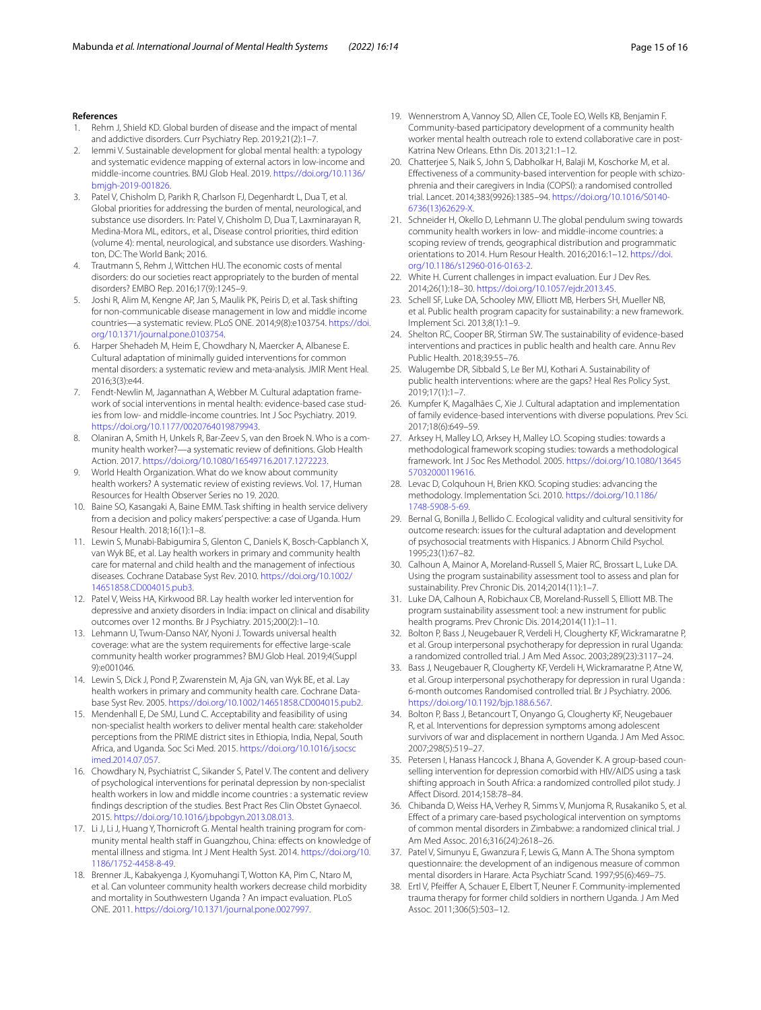#### **References**

- <span id="page-14-0"></span>1. Rehm J, Shield KD. Global burden of disease and the impact of mental and addictive disorders. Curr Psychiatry Rep. 2019;21(2):1–7.
- <span id="page-14-1"></span>2. Iemmi V. Sustainable development for global mental health: a typology and systematic evidence mapping of external actors in low-income and middle-income countries. BMJ Glob Heal. 2019. [https://doi.org/10.1136/](https://doi.org/10.1136/bmjgh-2019-001826) [bmjgh-2019-001826.](https://doi.org/10.1136/bmjgh-2019-001826)
- <span id="page-14-2"></span>3. Patel V, Chisholm D, Parikh R, Charlson FJ, Degenhardt L, Dua T, et al. Global priorities for addressing the burden of mental, neurological, and substance use disorders. In: Patel V, Chisholm D, Dua T, Laxminarayan R, Medina-Mora ML, editors., et al., Disease control priorities, third edition (volume 4): mental, neurological, and substance use disorders. Washington, DC: The World Bank; 2016.
- <span id="page-14-3"></span>4. Trautmann S, Rehm J, Wittchen HU. The economic costs of mental disorders: do our societies react appropriately to the burden of mental disorders? EMBO Rep. 2016;17(9):1245–9.
- <span id="page-14-4"></span>5. Joshi R, Alim M, Kengne AP, Jan S, Maulik PK, Peiris D, et al. Task shifting for non-communicable disease management in low and middle income countries—a systematic review. PLoS ONE. 2014;9(8):e103754. [https://doi.](https://doi.org/10.1371/journal.pone.0103754) [org/10.1371/journal.pone.0103754](https://doi.org/10.1371/journal.pone.0103754).
- <span id="page-14-5"></span>6. Harper Shehadeh M, Heim E, Chowdhary N, Maercker A, Albanese E. Cultural adaptation of minimally guided interventions for common mental disorders: a systematic review and meta-analysis. JMIR Ment Heal. 2016;3(3):e44.
- <span id="page-14-6"></span>7. Fendt-Newlin M, Jagannathan A, Webber M. Cultural adaptation framework of social interventions in mental health: evidence-based case studies from low- and middle-income countries. Int J Soc Psychiatry. 2019. <https://doi.org/10.1177/0020764019879943>.
- <span id="page-14-7"></span>8. Olaniran A, Smith H, Unkels R, Bar-Zeev S, van den Broek N. Who is a community health worker?—a systematic review of defnitions. Glob Health Action. 2017. [https://doi.org/10.1080/16549716.2017.1272223.](https://doi.org/10.1080/16549716.2017.1272223)
- <span id="page-14-8"></span>9. World Health Organization. What do we know about community health workers? A systematic review of existing reviews. Vol. 17, Human Resources for Health Observer Series no 19. 2020.
- <span id="page-14-9"></span>10. Baine SO, Kasangaki A, Baine EMM. Task shifting in health service delivery from a decision and policy makers' perspective: a case of Uganda. Hum Resour Health. 2018;16(1):1–8.
- <span id="page-14-10"></span>11. Lewin S, Munabi-Babigumira S, Glenton C, Daniels K, Bosch-Capblanch X, van Wyk BE, et al. Lay health workers in primary and community health care for maternal and child health and the management of infectious diseases. Cochrane Database Syst Rev. 2010. [https://doi.org/10.1002/](https://doi.org/10.1002/14651858.CD004015.pub3) [14651858.CD004015.pub3.](https://doi.org/10.1002/14651858.CD004015.pub3)
- 12. Patel V, Weiss HA, Kirkwood BR. Lay health worker led intervention for depressive and anxiety disorders in India: impact on clinical and disability outcomes over 12 months. Br J Psychiatry. 2015;200(2):1–10.
- <span id="page-14-11"></span>13. Lehmann U, Twum-Danso NAY, Nyoni J. Towards universal health coverage: what are the system requirements for efective large-scale community health worker programmes? BMJ Glob Heal. 2019;4(Suppl 9):e001046.
- <span id="page-14-12"></span>14. Lewin S, Dick J, Pond P, Zwarenstein M, Aja GN, van Wyk BE, et al. Lay health workers in primary and community health care. Cochrane Database Syst Rev. 2005. [https://doi.org/10.1002/14651858.CD004015.pub2.](https://doi.org/10.1002/14651858.CD004015.pub2)
- <span id="page-14-13"></span>15. Mendenhall E, De SMJ, Lund C. Acceptability and feasibility of using non-specialist health workers to deliver mental health care: stakeholder perceptions from the PRIME district sites in Ethiopia, India, Nepal, South Africa, and Uganda. Soc Sci Med. 2015. [https://doi.org/10.1016/j.socsc](https://doi.org/10.1016/j.socscimed.2014.07.057) [imed.2014.07.057.](https://doi.org/10.1016/j.socscimed.2014.07.057)
- <span id="page-14-14"></span>16. Chowdhary N, Psychiatrist C, Sikander S, Patel V. The content and delivery of psychological interventions for perinatal depression by non-specialist health workers in low and middle income countries : a systematic review fndings description of the studies. Best Pract Res Clin Obstet Gynaecol. 2015. [https://doi.org/10.1016/j.bpobgyn.2013.08.013.](https://doi.org/10.1016/j.bpobgyn.2013.08.013)
- <span id="page-14-15"></span>17. Li J, Li J, Huang Y, Thornicroft G. Mental health training program for community mental health staff in Guangzhou, China: effects on knowledge of mental illness and stigma. Int J Ment Health Syst. 2014. [https://doi.org/10.](https://doi.org/10.1186/1752-4458-8-49) [1186/1752-4458-8-49.](https://doi.org/10.1186/1752-4458-8-49)
- <span id="page-14-16"></span>18. Brenner JL, Kabakyenga J, Kyomuhangi T, Wotton KA, Pim C, Ntaro M, et al. Can volunteer community health workers decrease child morbidity and mortality in Southwestern Uganda ? An impact evaluation. PLoS ONE. 2011. <https://doi.org/10.1371/journal.pone.0027997>.
- <span id="page-14-17"></span>19. Wennerstrom A, Vannoy SD, Allen CE, Toole EO, Wells KB, Benjamin F. Community-based participatory development of a community health worker mental health outreach role to extend collaborative care in post-Katrina New Orleans. Ethn Dis. 2013;21:1–12.
- <span id="page-14-18"></span>20. Chatterjee S, Naik S, John S, Dabholkar H, Balaji M, Koschorke M, et al. Efectiveness of a community-based intervention for people with schizophrenia and their caregivers in India (COPSI): a randomised controlled trial. Lancet. 2014;383(9926):1385–94. [https://doi.org/10.1016/S0140-](https://doi.org/10.1016/S0140-6736(13)62629-X) [6736\(13\)62629-X](https://doi.org/10.1016/S0140-6736(13)62629-X).
- <span id="page-14-19"></span>21. Schneider H, Okello D, Lehmann U. The global pendulum swing towards community health workers in low- and middle-income countries: a scoping review of trends, geographical distribution and programmatic orientations to 2014. Hum Resour Health. 2016;2016:1–12. [https://doi.](https://doi.org/10.1186/s12960-016-0163-2) [org/10.1186/s12960-016-0163-2.](https://doi.org/10.1186/s12960-016-0163-2)
- <span id="page-14-20"></span>22. White H. Current challenges in impact evaluation. Eur J Dev Res. 2014;26(1):18–30. [https://doi.org/10.1057/ejdr.2013.45.](https://doi.org/10.1057/ejdr.2013.45)
- <span id="page-14-21"></span>23. Schell SF, Luke DA, Schooley MW, Elliott MB, Herbers SH, Mueller NB, et al. Public health program capacity for sustainability: a new framework. Implement Sci. 2013;8(1):1–9.
- <span id="page-14-22"></span>24. Shelton RC, Cooper BR, Stirman SW. The sustainability of evidence-based interventions and practices in public health and health care. Annu Rev Public Health. 2018;39:55–76.
- <span id="page-14-23"></span>25. Walugembe DR, Sibbald S, Le Ber MJ, Kothari A. Sustainability of public health interventions: where are the gaps? Heal Res Policy Syst. 2019;17(1):1–7.
- <span id="page-14-24"></span>26. Kumpfer K, Magalhães C, Xie J. Cultural adaptation and implementation of family evidence-based interventions with diverse populations. Prev Sci. 2017;18(6):649–59.
- <span id="page-14-25"></span>27. Arksey H, Malley LO, Arksey H, Malley LO. Scoping studies: towards a methodological framework scoping studies: towards a methodological framework. Int J Soc Res Methodol. 2005. [https://doi.org/10.1080/13645](https://doi.org/10.1080/1364557032000119616) [57032000119616.](https://doi.org/10.1080/1364557032000119616)
- <span id="page-14-26"></span>28. Levac D, Colquhoun H, Brien KKO. Scoping studies: advancing the methodology. Implementation Sci. 2010. [https://doi.org/10.1186/](https://doi.org/10.1186/1748-5908-5-69) [1748-5908-5-69.](https://doi.org/10.1186/1748-5908-5-69)
- <span id="page-14-27"></span>29. Bernal G, Bonilla J, Bellido C. Ecological validity and cultural sensitivity for outcome research: issues for the cultural adaptation and development of psychosocial treatments with Hispanics. J Abnorm Child Psychol. 1995;23(1):67–82.
- <span id="page-14-28"></span>30. Calhoun A, Mainor A, Moreland-Russell S, Maier RC, Brossart L, Luke DA. Using the program sustainability assessment tool to assess and plan for sustainability. Prev Chronic Dis. 2014;2014(11):1–7.
- <span id="page-14-29"></span>31. Luke DA, Calhoun A, Robichaux CB, Moreland-Russell S, Elliott MB. The program sustainability assessment tool: a new instrument for public health programs. Prev Chronic Dis. 2014;2014(11):1–11.
- <span id="page-14-30"></span>32. Bolton P, Bass J, Neugebauer R, Verdeli H, Clougherty KF, Wickramaratne P, et al. Group interpersonal psychotherapy for depression in rural Uganda: a randomized controlled trial. J Am Med Assoc. 2003;289(23):3117–24.
- <span id="page-14-31"></span>33. Bass J, Neugebauer R, Clougherty KF, Verdeli H, Wickramaratne P, Atne W, et al. Group interpersonal psychotherapy for depression in rural Uganda : 6-month outcomes Randomised controlled trial. Br J Psychiatry. 2006. [https://doi.org/10.1192/bjp.188.6.567.](https://doi.org/10.1192/bjp.188.6.567)
- <span id="page-14-32"></span>34. Bolton P, Bass J, Betancourt T, Onyango G, Clougherty KF, Neugebauer R, et al. Interventions for depression symptoms among adolescent survivors of war and displacement in northern Uganda. J Am Med Assoc. 2007;298(5):519–27.
- <span id="page-14-33"></span>35. Petersen I, Hanass Hancock J, Bhana A, Govender K. A group-based counselling intervention for depression comorbid with HIV/AIDS using a task shifting approach in South Africa: a randomized controlled pilot study. J Afect Disord. 2014;158:78–84.
- <span id="page-14-34"></span>36. Chibanda D, Weiss HA, Verhey R, Simms V, Munjoma R, Rusakaniko S, et al. Efect of a primary care-based psychological intervention on symptoms of common mental disorders in Zimbabwe: a randomized clinical trial. J Am Med Assoc. 2016;316(24):2618–26.
- <span id="page-14-35"></span>37. Patel V, Simunyu E, Gwanzura F, Lewis G, Mann A. The Shona symptom questionnaire: the development of an indigenous measure of common mental disorders in Harare. Acta Psychiatr Scand. 1997;95(6):469–75.
- <span id="page-14-36"></span>38. Ertl V, Pfeifer A, Schauer E, Elbert T, Neuner F. Community-implemented trauma therapy for former child soldiers in northern Uganda. J Am Med Assoc. 2011;306(5):503–12.